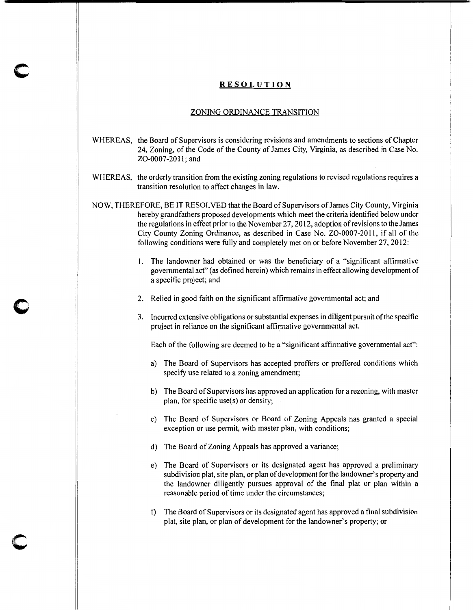## **RESOLUTION**

**c** 

**0** 

**c** 

## ZONING ORDINANCE TRANSITION

- WHEREAS, the Board of Supervisors is considering revisions and amendments to sections of Chapter 24, Zoning, of the Code of the County of James City, Virginia, as described in Case No. Z0-0007-20 II; and
- WHEREAS, the orderly transition from the existing zoning regulations to revised regulations requires a transition resolution to affect changes in law.

NOW, THEREFORE, BE IT RESOLVED that the Board of Supervisors of James City County, Virginia hereby grandfathers proposed developments which meet the criteria identified below under the regulations in effect prior to the November 27, 20I2, adoption of revisions to the James City County Zoning Ordinance, as described in Case No. ZO-0007-2011, if all of the following conditions were fully and completely met on or before November 27, 20I2:

- I. The landowner had obtained or was the beneficiary of a "significant affirmative governmental act" (as defined herein) which remains in effect allowing development of a specific project; and
- 2. Relied in good faith on the significant affirmative governmental act; and
- 3. Incurred extensive obligations or substantial expenses in diligent pursuit ofthe specific project in reliance on the significant affirmative governmental act.

Each of the following are deemed to be a "significant affirmative governmental act":

- a) The Board of Supervisors has accepted proffers or proffered conditions which specify use related to a zoning amendment;
- b) The Board of Supervisors has approved an application for a rezoning, with master plan, for specific use(s) or density;
- c) The Board of Supervisors or Board of Zoning Appeals has granted a special exception or use permit, with master plan, with conditions;
- d) The Board of Zoning Appeals has approved a variance;
- e) The Board of Supervisors or its designated agent has approved a preliminary subdivision plat, site plan, or plan of development for the landowner's property and the landowner diligently pursues approval of the final plat or plan within a reasonable period of time under the circumstances;
- f) The Board of Supervisors or its designated agent has approved a final subdivision plat, site plan, or plan of development for the landowner's property; or